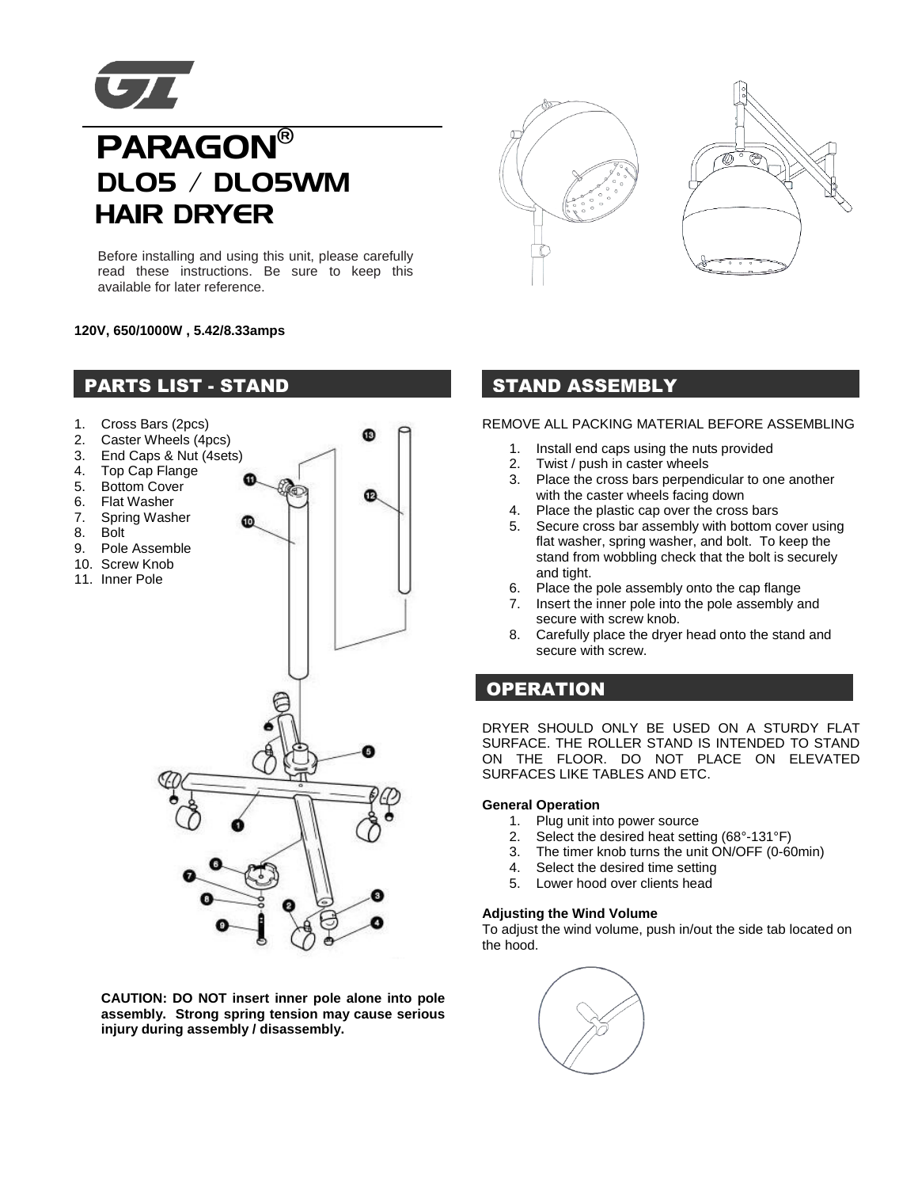

# **UZ**<br>PARAGON® DL05 / DL05WM HAIR DRYER

Before installing and using this unit, please carefully read these instructions. Be sure to keep this available for later reference.

## **120V, 650/1000W , 5.42/8.33amps**



**CAUTION: DO NOT insert inner pole alone into pole assembly. Strong spring tension may cause serious injury during assembly / disassembly.** 





### REMOVE ALL PACKING MATERIAL BEFORE ASSEMBLING

- 1. Install end caps using the nuts provided
- 2. Twist / push in caster wheels
- 3. Place the cross bars perpendicular to one another with the caster wheels facing down
- 4. Place the plastic cap over the cross bars
- 5. Secure cross bar assembly with bottom cover using flat washer, spring washer, and bolt. To keep the stand from wobbling check that the bolt is securely and tight.
- 6. Place the pole assembly onto the cap flange
- 7. Insert the inner pole into the pole assembly and secure with screw knob.
- 8. Carefully place the dryer head onto the stand and secure with screw.

# **OPERATION**

DRYER SHOULD ONLY BE USED ON A STURDY FLAT SURFACE. THE ROLLER STAND IS INTENDED TO STAND ON THE FLOOR. DO NOT PLACE ON ELEVATED SURFACES LIKE TABLES AND ETC.

#### **General Operation**

- 1. Plug unit into power source
- 2. Select the desired heat setting (68°-131°F)
- 3. The timer knob turns the unit ON/OFF (0-60min)
- 4. Select the desired time setting
- 5. Lower hood over clients head

#### **Adjusting the Wind Volume**

To adjust the wind volume, push in/out the side tab located on the hood.